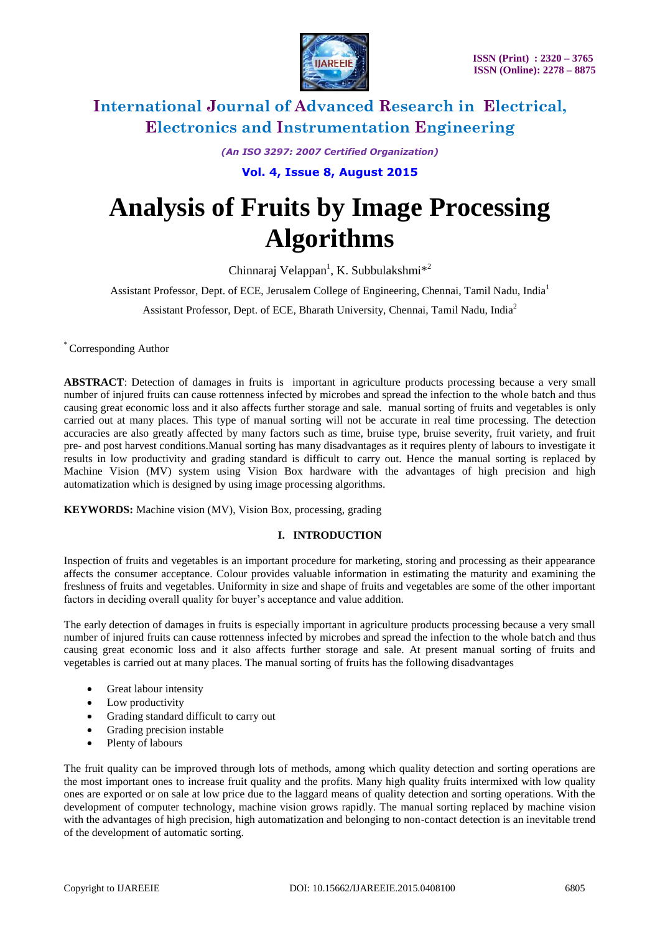

*(An ISO 3297: 2007 Certified Organization)*

**Vol. 4, Issue 8, August 2015**

# **Analysis of Fruits by Image Processing Algorithms**

Chinnaraj Velappan<sup>1</sup>, K. Subbulakshmi<sup>\*2</sup>

Assistant Professor, Dept. of ECE, Jerusalem College of Engineering, Chennai, Tamil Nadu, India<sup>1</sup>

Assistant Professor, Dept. of ECE, Bharath University, Chennai, Tamil Nadu, India<sup>2</sup>

\* Corresponding Author

**ABSTRACT**: Detection of damages in fruits is important in agriculture products processing because a very small number of injured fruits can cause rottenness infected by microbes and spread the infection to the whole batch and thus causing great economic loss and it also affects further storage and sale. manual sorting of fruits and vegetables is only carried out at many places. This type of manual sorting will not be accurate in real time processing. The detection accuracies are also greatly affected by many factors such as time, bruise type, bruise severity, fruit variety, and fruit pre- and post harvest conditions.Manual sorting has many disadvantages as it requires plenty of labours to investigate it results in low productivity and grading standard is difficult to carry out. Hence the manual sorting is replaced by Machine Vision (MV) system using Vision Box hardware with the advantages of high precision and high automatization which is designed by using image processing algorithms.

**KEYWORDS:** Machine vision (MV), Vision Box, processing, grading

### **I. INTRODUCTION**

Inspection of fruits and vegetables is an important procedure for marketing, storing and processing as their appearance affects the consumer acceptance. Colour provides valuable information in estimating the maturity and examining the freshness of fruits and vegetables. Uniformity in size and shape of fruits and vegetables are some of the other important factors in deciding overall quality for buyer's acceptance and value addition.

The early detection of damages in fruits is especially important in agriculture products processing because a very small number of injured fruits can cause rottenness infected by microbes and spread the infection to the whole batch and thus causing great economic loss and it also affects further storage and sale. At present manual sorting of fruits and vegetables is carried out at many places. The manual sorting of fruits has the following disadvantages

- Great labour intensity
- Low productivity
- Grading standard difficult to carry out
- Grading precision instable
- Plenty of labours

The fruit quality can be improved through lots of methods, among which quality detection and sorting operations are the most important ones to increase fruit quality and the profits. Many high quality fruits intermixed with low quality ones are exported or on sale at low price due to the laggard means of quality detection and sorting operations. With the development of computer technology, machine vision grows rapidly. The manual sorting replaced by machine vision with the advantages of high precision, high automatization and belonging to non-contact detection is an inevitable trend of the development of automatic sorting.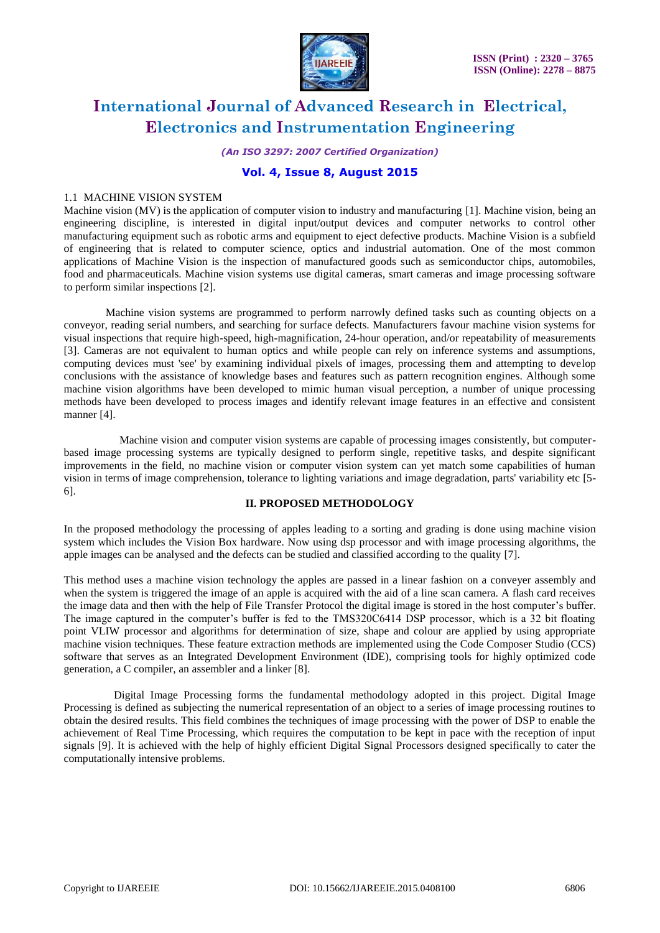

*(An ISO 3297: 2007 Certified Organization)*

# **Vol. 4, Issue 8, August 2015**

#### 1.1 MACHINE VISION SYSTEM

Machine vision (MV) is the application of computer vision to industry and manufacturing [1]. Machine vision, being an engineering discipline, is interested in digital input/output devices and computer networks to control other manufacturing equipment such as robotic arms and equipment to eject defective products. Machine Vision is a subfield of engineering that is related to computer science, optics and industrial automation. One of the most common applications of Machine Vision is the inspection of manufactured goods such as semiconductor chips, automobiles, food and pharmaceuticals. Machine vision systems use digital cameras, smart cameras and image processing software to perform similar inspections [2].

 Machine vision systems are programmed to perform narrowly defined tasks such as counting objects on a conveyor, reading serial numbers, and searching for surface defects. Manufacturers favour machine vision systems for visual inspections that require high-speed, high-magnification, 24-hour operation, and/or repeatability of measurements [3]. Cameras are not equivalent to human optics and while people can rely on inference systems and assumptions, computing devices must 'see' by examining individual pixels of images, processing them and attempting to develop conclusions with the assistance of knowledge bases and features such as pattern recognition engines. Although some machine vision algorithms have been developed to mimic human visual perception, a number of unique processing methods have been developed to process images and identify relevant image features in an effective and consistent manner [4].

 Machine vision and computer vision systems are capable of processing images consistently, but computerbased image processing systems are typically designed to perform single, repetitive tasks, and despite significant improvements in the field, no machine vision or computer vision system can yet match some capabilities of human vision in terms of image comprehension, tolerance to lighting variations and image degradation, parts' variability etc [5- 6].

### **II. PROPOSED METHODOLOGY**

In the proposed methodology the processing of apples leading to a sorting and grading is done using machine vision system which includes the Vision Box hardware. Now using dsp processor and with image processing algorithms, the apple images can be analysed and the defects can be studied and classified according to the quality [7].

This method uses a machine vision technology the apples are passed in a linear fashion on a conveyer assembly and when the system is triggered the image of an apple is acquired with the aid of a line scan camera. A flash card receives the image data and then with the help of File Transfer Protocol the digital image is stored in the host computer's buffer. The image captured in the computer's buffer is fed to the TMS320C6414 DSP processor, which is a 32 bit floating point VLIW processor and algorithms for determination of size, shape and colour are applied by using appropriate machine vision techniques. These feature extraction methods are implemented using the Code Composer Studio (CCS) software that serves as an Integrated Development Environment (IDE), comprising tools for highly optimized code generation, a C compiler, an assembler and a linker [8].

 Digital Image Processing forms the fundamental methodology adopted in this project. Digital Image Processing is defined as subjecting the numerical representation of an object to a series of image processing routines to obtain the desired results. This field combines the techniques of image processing with the power of DSP to enable the achievement of Real Time Processing, which requires the computation to be kept in pace with the reception of input signals [9]. It is achieved with the help of highly efficient Digital Signal Processors designed specifically to cater the computationally intensive problems.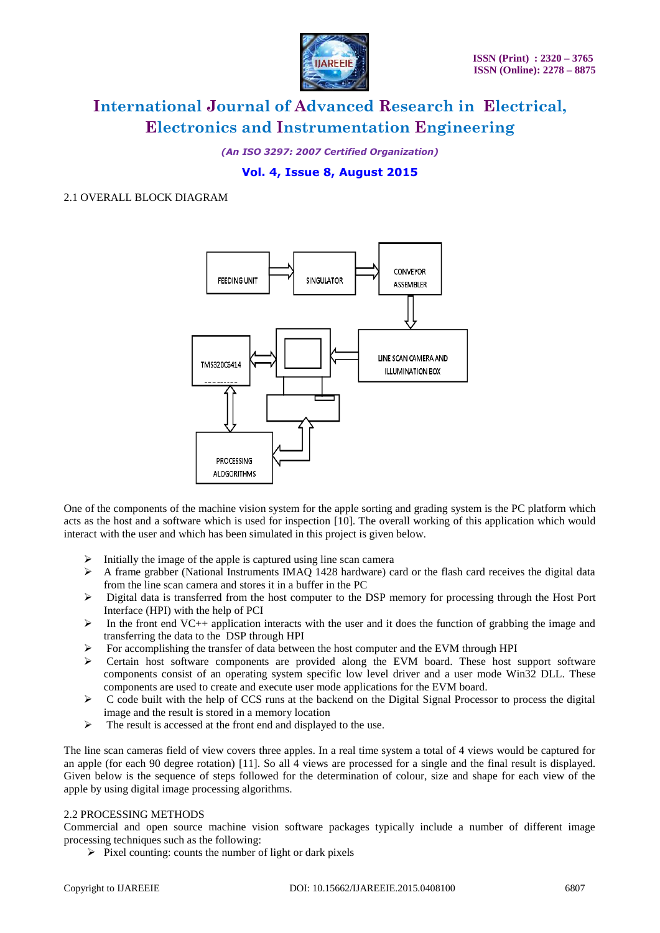

*(An ISO 3297: 2007 Certified Organization)*

# **Vol. 4, Issue 8, August 2015**

#### 2.1 OVERALL BLOCK DIAGRAM



One of the components of the machine vision system for the apple sorting and grading system is the PC platform which acts as the host and a software which is used for inspection [10]. The overall working of this application which would interact with the user and which has been simulated in this project is given below.

- Initially the image of the apple is captured using line scan camera
- $\triangleright$  A frame grabber (National Instruments IMAQ 1428 hardware) card or the flash card receives the digital data from the line scan camera and stores it in a buffer in the PC
- Digital data is transferred from the host computer to the DSP memory for processing through the Host Port Interface (HPI) with the help of PCI
- In the front end VC++ application interacts with the user and it does the function of grabbing the image and transferring the data to the DSP through HPI
- $\triangleright$  For accomplishing the transfer of data between the host computer and the EVM through HPI
- $\triangleright$  Certain host software components are provided along the EVM board. These host support software components consist of an operating system specific low level driver and a user mode Win32 DLL. These components are used to create and execute user mode applications for the EVM board.
- $\triangleright$  C code built with the help of CCS runs at the backend on the Digital Signal Processor to process the digital image and the result is stored in a memory location
- $\triangleright$  The result is accessed at the front end and displayed to the use.

The line scan cameras field of view covers three apples. In a real time system a total of 4 views would be captured for an apple (for each 90 degree rotation) [11]. So all 4 views are processed for a single and the final result is displayed. Given below is the sequence of steps followed for the determination of colour, size and shape for each view of the apple by using digital image processing algorithms.

#### 2.2 PROCESSING METHODS

Commercial and open source machine vision software packages typically include a number of different image processing techniques such as the following:

 $\triangleright$  Pixel counting: counts the number of light or dark pixels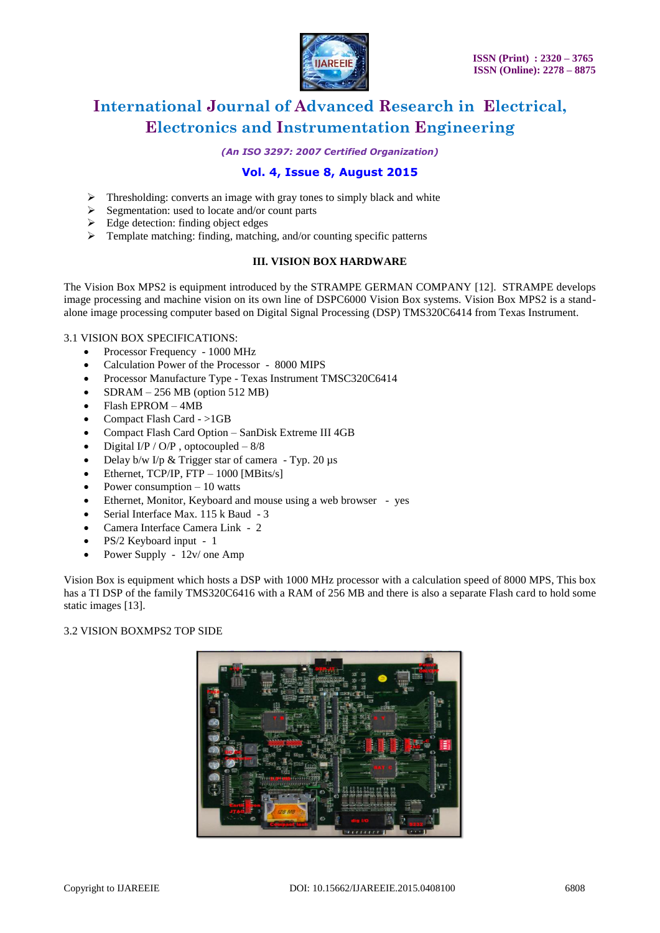

*(An ISO 3297: 2007 Certified Organization)*

# **Vol. 4, Issue 8, August 2015**

- Thresholding: converts an image with gray tones to simply black and white
- Segmentation: used to locate and/or count parts
- Edge detection: finding object edges
- $\triangleright$  Template matching: finding, matching, and/or counting specific patterns

# **III. VISION BOX HARDWARE**

The Vision Box MPS2 is equipment introduced by the STRAMPE GERMAN COMPANY [12]. STRAMPE develops image processing and machine vision on its own line of DSPC6000 Vision Box systems. Vision Box MPS2 is a standalone image processing computer based on Digital Signal Processing (DSP) TMS320C6414 from Texas Instrument.

### 3.1 VISION BOX SPECIFICATIONS:

- Processor Frequency 1000 MHz
- Calculation Power of the Processor 8000 MIPS
- Processor Manufacture Type Texas Instrument TMSC320C6414
- SDRAM 256 MB (option 512 MB)
- Flash EPROM 4MB
- Compact Flash Card >1GB
- Compact Flash Card Option SanDisk Extreme III 4GB
- Digital  $I/P / O/P$ , optocoupled  $-8/8$
- Delay b/w I/p & Trigger star of camera Typ. 20 µs
- $\bullet$  Ethernet, TCP/IP, FTP 1000 [MBits/s]
- Power consumption 10 watts
- Ethernet, Monitor, Keyboard and mouse using a web browser yes
- Serial Interface Max. 115 k Baud 3
- Camera Interface Camera Link 2
- PS/2 Keyboard input 1
- Power Supply 12v/ one Amp

Vision Box is equipment which hosts a DSP with 1000 MHz processor with a calculation speed of 8000 MPS, This box has a TI DSP of the family TMS320C6416 with a RAM of 256 MB and there is also a separate Flash card to hold some static images [13].

3.2 VISION BOXMPS2 TOP SIDE

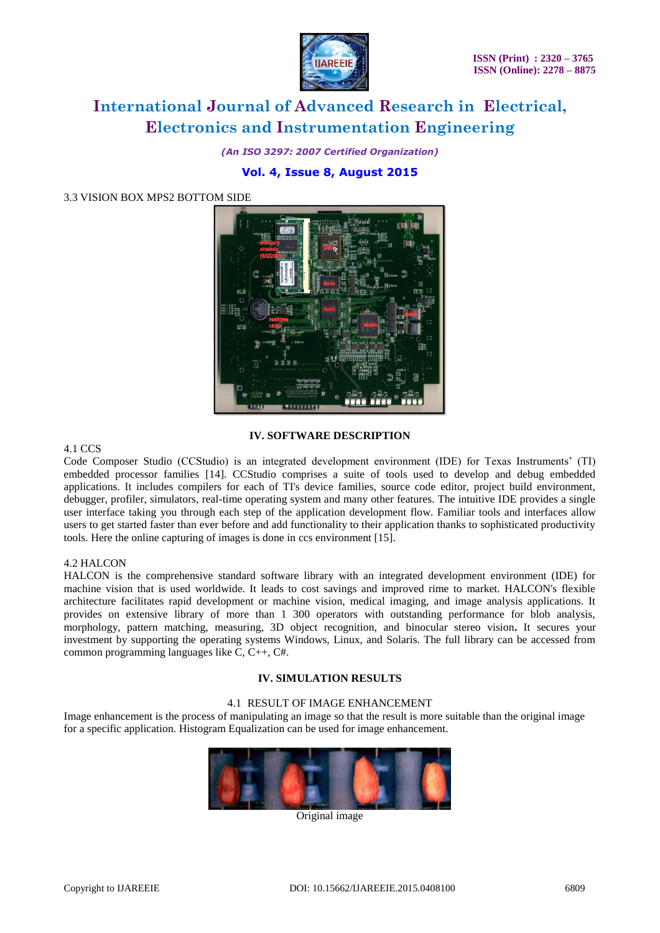

*(An ISO 3297: 2007 Certified Organization)*

# **Vol. 4, Issue 8, August 2015**

3.3 VISION BOX MPS2 BOTTOM SIDE



# **IV. SOFTWARE DESCRIPTION**

### 4.1 CCS

Code Composer Studio (CCStudio) is an integrated development environment (IDE) for Texas Instruments' (TI) embedded processor families [14]. CCStudio comprises a suite of tools used to develop and debug embedded applications. It includes compilers for each of TI's device families, source code editor, project build environment, debugger, profiler, simulators, real-time operating system and many other features. The intuitive IDE provides a single user interface taking you through each step of the application development flow. Familiar tools and interfaces allow users to get started faster than ever before and add functionality to their application thanks to sophisticated productivity tools. Here the online capturing of images is done in ccs environment [15].

### 4.2 HALCON

HALCON is the comprehensive standard software library with an integrated development environment (IDE) for machine vision that is used worldwide. It leads to cost savings and improved rime to market. HALCON's flexible architecture facilitates rapid development or machine vision, medical imaging, and image analysis applications. It provides on extensive library of more than 1 300 operators with outstanding performance for blob analysis, morphology, pattern matching, measuring, 3D object recognition, and binocular stereo vision**.** It secures your investment by supporting the operating systems Windows, Linux, and Solaris. The full library can be accessed from common programming languages like C, C++, C#.

# **IV. SIMULATION RESULTS**

### 4.1 RESULT OF IMAGE ENHANCEMENT

Image enhancement is the process of manipulating an image so that the result is more suitable than the original image for a specific application. Histogram Equalization can be used for image enhancement.



Original image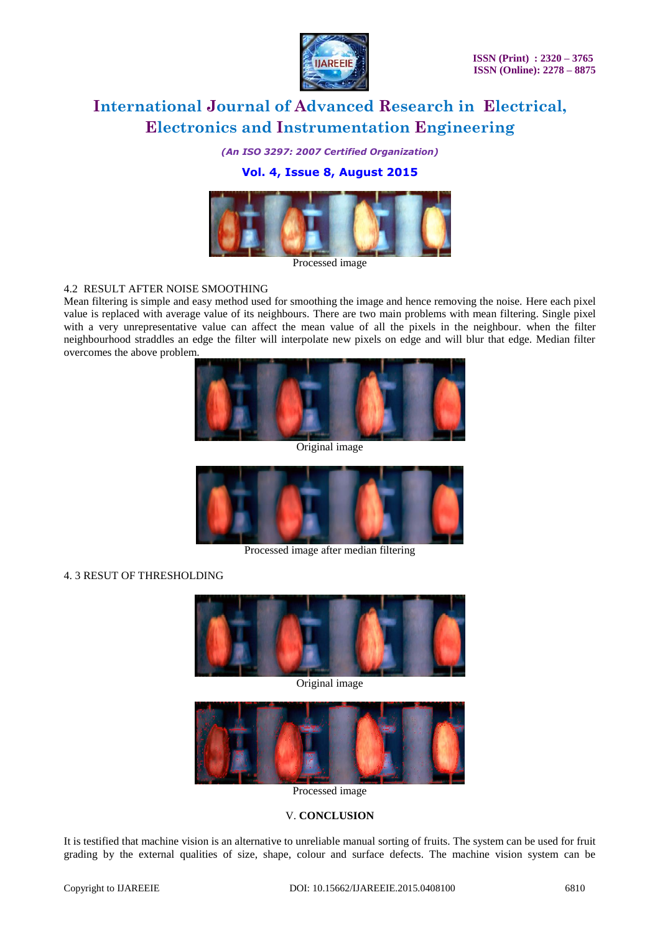

*(An ISO 3297: 2007 Certified Organization)*

# **Vol. 4, Issue 8, August 2015**



Processed image

### 4.2 RESULT AFTER NOISE SMOOTHING

Mean filtering is simple and easy method used for smoothing the image and hence removing the noise. Here each pixel value is replaced with average value of its neighbours. There are two main problems with mean filtering. Single pixel with a very unrepresentative value can affect the mean value of all the pixels in the neighbour. when the filter neighbourhood straddles an edge the filter will interpolate new pixels on edge and will blur that edge. Median filter overcomes the above problem.



Original image



Processed image after median filtering

### 4. 3 RESUT OF THRESHOLDING



Original image



Processed image

### V. **CONCLUSION**

It is testified that machine vision is an alternative to unreliable manual sorting of fruits. The system can be used for fruit grading by the external qualities of size, shape, colour and surface defects. The machine vision system can be